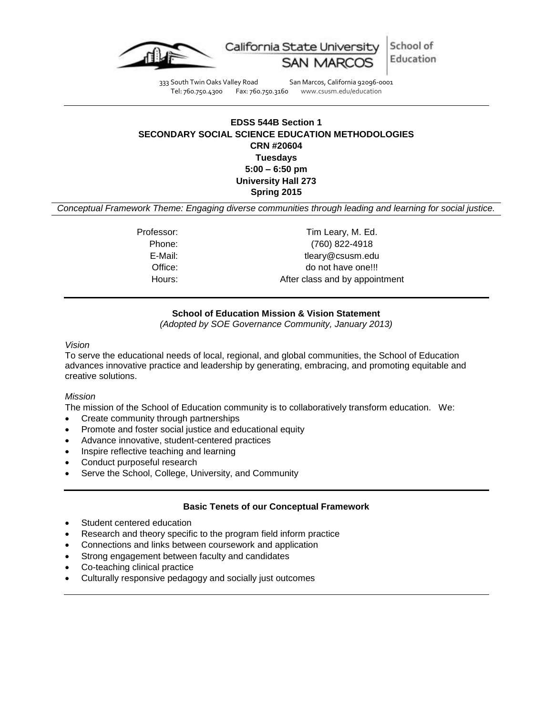

333 South Twin Oaks Valley Road San Marcos, California 92096-0001 Tel: 760.750.4300 Fax: 760.750.3160 www.csusm.edu/education

## **EDSS 544B Section 1 SECONDARY SOCIAL SCIENCE EDUCATION METHODOLOGIES CRN #20604 Tuesdays 5:00 – 6:50 pm University Hall 273 Spring 2015**

*Conceptual Framework Theme: Engaging diverse communities through leading and learning for social justice.*

Professor: Tim Leary, M. Ed. Phone: (760) 822-4918 E-Mail: tleary@csusm.edu Office: do not have one!!! Hours: Hours: After class and by appointment

### **School of Education Mission & Vision Statement**

*(Adopted by SOE Governance Community, January 2013)*

*Vision*

To serve the educational needs of local, regional, and global communities, the School of Education advances innovative practice and leadership by generating, embracing, and promoting equitable and creative solutions.

#### *Mission*

The mission of the School of Education community is to collaboratively transform education. We:

- Create community through partnerships
- Promote and foster social justice and educational equity
- Advance innovative, student-centered practices
- Inspire reflective teaching and learning
- Conduct purposeful research
- Serve the School, College, University, and Community

#### **Basic Tenets of our Conceptual Framework**

- Student centered education
- Research and theory specific to the program field inform practice
- Connections and links between coursework and application
- Strong engagement between faculty and candidates
- Co-teaching clinical practice
- Culturally responsive pedagogy and socially just outcomes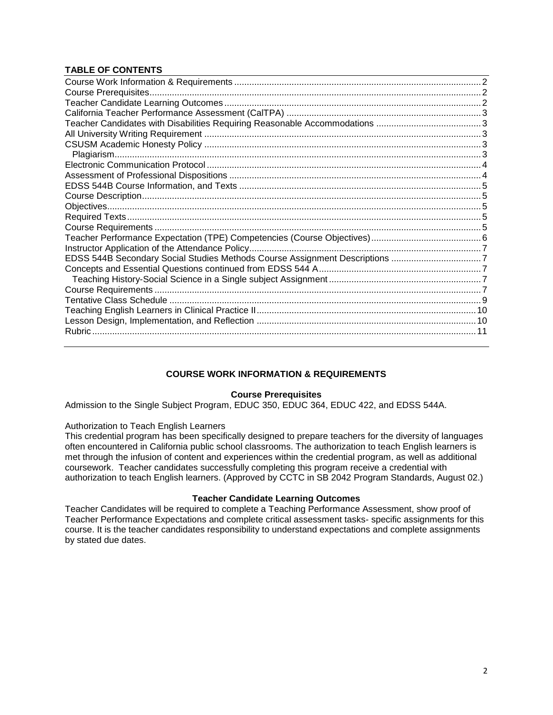## **TABLE OF CONTENTS**

| EDSS 544B Secondary Social Studies Methods Course Assignment Descriptions 7 |  |
|-----------------------------------------------------------------------------|--|
|                                                                             |  |
|                                                                             |  |
|                                                                             |  |
|                                                                             |  |
|                                                                             |  |
|                                                                             |  |
|                                                                             |  |
|                                                                             |  |

## **COURSE WORK INFORMATION & REQUIREMENTS**

#### **Course Prerequisites**

<span id="page-1-1"></span><span id="page-1-0"></span>Admission to the Single Subject Program, EDUC 350, EDUC 364, EDUC 422, and EDSS 544A.

Authorization to Teach English Learners

This credential program has been specifically designed to prepare teachers for the diversity of languages often encountered in California public school classrooms. The authorization to teach English learners is met through the infusion of content and experiences within the credential program, as well as additional coursework. Teacher candidates successfully completing this program receive a credential with authorization to teach English learners. (Approved by CCTC in SB 2042 Program Standards, August 02.)

#### **Teacher Candidate Learning Outcomes**

<span id="page-1-2"></span>Teacher Candidates will be required to complete a Teaching Performance Assessment, show proof of Teacher Performance Expectations and complete critical assessment tasks- specific assignments for this course. It is the teacher candidates responsibility to understand expectations and complete assignments by stated due dates.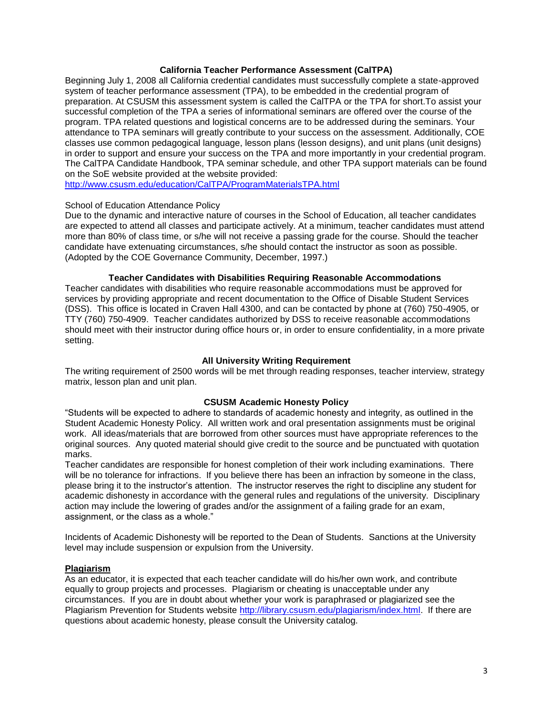#### **California Teacher Performance Assessment (CalTPA)**

<span id="page-2-0"></span>Beginning July 1, 2008 all California credential candidates must successfully complete a state-approved system of teacher performance assessment (TPA), to be embedded in the credential program of preparation. At CSUSM this assessment system is called the CalTPA or the TPA for short.To assist your successful completion of the TPA a series of informational seminars are offered over the course of the program. TPA related questions and logistical concerns are to be addressed during the seminars. Your attendance to TPA seminars will greatly contribute to your success on the assessment. Additionally, COE classes use common pedagogical language, lesson plans (lesson designs), and unit plans (unit designs) in order to support and ensure your success on the TPA and more importantly in your credential program. The CalTPA Candidate Handbook, TPA seminar schedule, and other TPA support materials can be found on the SoE website provided at the website provided:

<http://www.csusm.edu/education/CalTPA/ProgramMaterialsTPA.html>

#### School of Education Attendance Policy

Due to the dynamic and interactive nature of courses in the School of Education, all teacher candidates are expected to attend all classes and participate actively. At a minimum, teacher candidates must attend more than 80% of class time, or s/he will not receive a passing grade for the course. Should the teacher candidate have extenuating circumstances, s/he should contact the instructor as soon as possible. (Adopted by the COE Governance Community, December, 1997.)

### **Teacher Candidates with Disabilities Requiring Reasonable Accommodations**

<span id="page-2-1"></span>Teacher candidates with disabilities who require reasonable accommodations must be approved for services by providing appropriate and recent documentation to the Office of Disable Student Services (DSS). This office is located in Craven Hall 4300, and can be contacted by phone at (760) 750-4905, or TTY (760) 750-4909. Teacher candidates authorized by DSS to receive reasonable accommodations should meet with their instructor during office hours or, in order to ensure confidentiality, in a more private setting.

#### **All University Writing Requirement**

<span id="page-2-2"></span>The writing requirement of 2500 words will be met through reading responses, teacher interview, strategy matrix, lesson plan and unit plan.

#### **CSUSM Academic Honesty Policy**

<span id="page-2-3"></span>"Students will be expected to adhere to standards of academic honesty and integrity, as outlined in the Student Academic Honesty Policy. All written work and oral presentation assignments must be original work. All ideas/materials that are borrowed from other sources must have appropriate references to the original sources. Any quoted material should give credit to the source and be punctuated with quotation marks.

Teacher candidates are responsible for honest completion of their work including examinations. There will be no tolerance for infractions. If you believe there has been an infraction by someone in the class, please bring it to the instructor's attention. The instructor reserves the right to discipline any student for academic dishonesty in accordance with the general rules and regulations of the university. Disciplinary action may include the lowering of grades and/or the assignment of a failing grade for an exam, assignment, or the class as a whole."

Incidents of Academic Dishonesty will be reported to the Dean of Students. Sanctions at the University level may include suspension or expulsion from the University.

#### <span id="page-2-4"></span>**Plagiarism**

As an educator, it is expected that each teacher candidate will do his/her own work, and contribute equally to group projects and processes. Plagiarism or cheating is unacceptable under any circumstances. If you are in doubt about whether your work is paraphrased or plagiarized see the Plagiarism Prevention for Students website [http://library.csusm.edu/plagiarism/index.html.](http://library.csusm.edu/plagiarism/index.html) If there are questions about academic honesty, please consult the University catalog.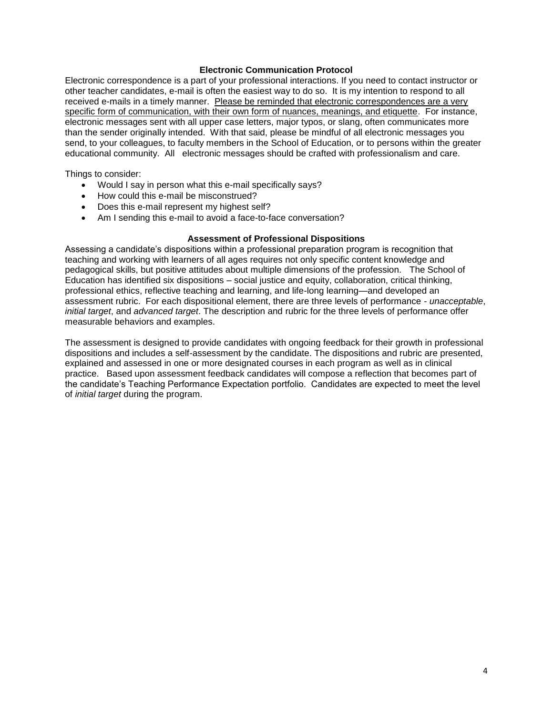#### **Electronic Communication Protocol**

<span id="page-3-0"></span>Electronic correspondence is a part of your professional interactions. If you need to contact instructor or other teacher candidates, e-mail is often the easiest way to do so. It is my intention to respond to all received e-mails in a timely manner. Please be reminded that electronic correspondences are a very specific form of communication, with their own form of nuances, meanings, and etiquette. For instance, electronic messages sent with all upper case letters, major typos, or slang, often communicates more than the sender originally intended. With that said, please be mindful of all electronic messages you send, to your colleagues, to faculty members in the School of Education, or to persons within the greater educational community. All electronic messages should be crafted with professionalism and care.

Things to consider:

- Would I say in person what this e-mail specifically says?
- How could this e-mail be misconstrued?
- Does this e-mail represent my highest self?
- Am I sending this e-mail to avoid a face-to-face conversation?

#### **Assessment of Professional Dispositions**

<span id="page-3-1"></span>Assessing a candidate's dispositions within a professional preparation program is recognition that teaching and working with learners of all ages requires not only specific content knowledge and pedagogical skills, but positive attitudes about multiple dimensions of the profession. The School of Education has identified six dispositions – social justice and equity, collaboration, critical thinking, professional ethics, reflective teaching and learning, and life-long learning—and developed an assessment rubric. For each dispositional element, there are three levels of performance - *unacceptable*, *initial target*, and *advanced target*. The description and rubric for the three levels of performance offer measurable behaviors and examples.

The assessment is designed to provide candidates with ongoing feedback for their growth in professional dispositions and includes a self-assessment by the candidate. The dispositions and rubric are presented, explained and assessed in one or more designated courses in each program as well as in clinical practice. Based upon assessment feedback candidates will compose a reflection that becomes part of the candidate's Teaching Performance Expectation portfolio. Candidates are expected to meet the level of *initial target* during the program.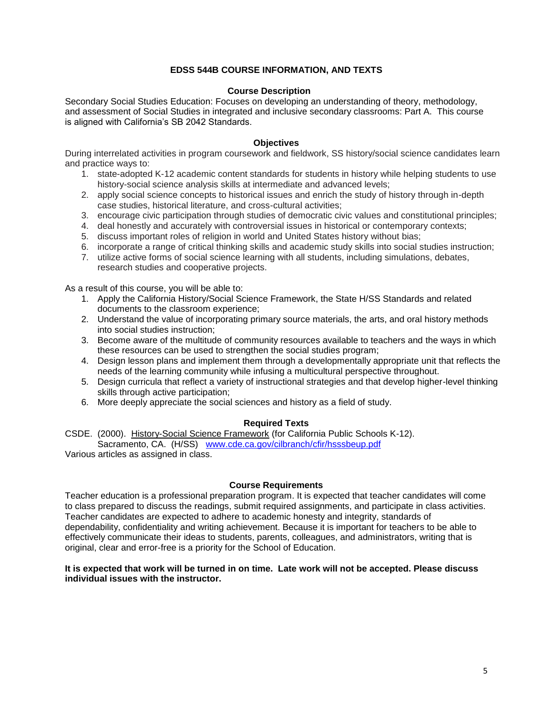### **EDSS 544B COURSE INFORMATION, AND TEXTS**

#### **Course Description**

<span id="page-4-1"></span><span id="page-4-0"></span>Secondary Social Studies Education: Focuses on developing an understanding of theory, methodology, and assessment of Social Studies in integrated and inclusive secondary classrooms: Part A. This course is aligned with California's SB 2042 Standards.

#### **Objectives**

<span id="page-4-2"></span>During interrelated activities in program coursework and fieldwork, SS history/social science candidates learn and practice ways to:

- 1. state-adopted K-12 academic content standards for students in history while helping students to use history-social science analysis skills at intermediate and advanced levels;
- 2. apply social science concepts to historical issues and enrich the study of history through in-depth case studies, historical literature, and cross-cultural activities;
- 3. encourage civic participation through studies of democratic civic values and constitutional principles;
- 4. deal honestly and accurately with controversial issues in historical or contemporary contexts;
- 5. discuss important roles of religion in world and United States history without bias;
- 6. incorporate a range of critical thinking skills and academic study skills into social studies instruction;
- 7. utilize active forms of social science learning with all students, including simulations, debates, research studies and cooperative projects.

As a result of this course, you will be able to:

- 1. Apply the California History/Social Science Framework, the State H/SS Standards and related documents to the classroom experience;
- 2. Understand the value of incorporating primary source materials, the arts, and oral history methods into social studies instruction;
- 3. Become aware of the multitude of community resources available to teachers and the ways in which these resources can be used to strengthen the social studies program;
- 4. Design lesson plans and implement them through a developmentally appropriate unit that reflects the needs of the learning community while infusing a multicultural perspective throughout.
- 5. Design curricula that reflect a variety of instructional strategies and that develop higher-level thinking skills through active participation;
- 6. More deeply appreciate the social sciences and history as a field of study.

#### **Required Texts**

<span id="page-4-3"></span>CSDE. (2000). History-Social Science Framework (for California Public Schools K-12). Sacramento, CA. (H/SS) [www.cde.ca.gov/cilbranch/cfir/hsssbeup.pdf](http://www.cde.ca.gov/cilbranch/cfir/hsssbeup.pdf)

Various articles as assigned in class.

#### **Course Requirements**

<span id="page-4-4"></span>Teacher education is a professional preparation program. It is expected that teacher candidates will come to class prepared to discuss the readings, submit required assignments, and participate in class activities. Teacher candidates are expected to adhere to academic honesty and integrity, standards of dependability, confidentiality and writing achievement. Because it is important for teachers to be able to effectively communicate their ideas to students, parents, colleagues, and administrators, writing that is original, clear and error-free is a priority for the School of Education.

#### **It is expected that work will be turned in on time. Late work will not be accepted. Please discuss individual issues with the instructor.**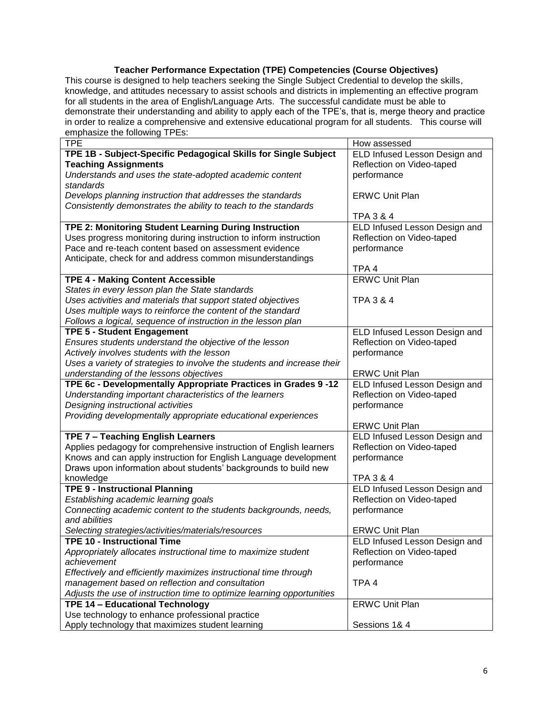## **Teacher Performance Expectation (TPE) Competencies (Course Objectives)**

<span id="page-5-0"></span>This course is designed to help teachers seeking the Single Subject Credential to develop the skills, knowledge, and attitudes necessary to assist schools and districts in implementing an effective program for all students in the area of English/Language Arts. The successful candidate must be able to demonstrate their understanding and ability to apply each of the TPE's, that is, merge theory and practice in order to realize a comprehensive and extensive educational program for all students. This course will emphasize the following TPEs:

| <b>TPE</b>                                                              | How assessed                  |  |
|-------------------------------------------------------------------------|-------------------------------|--|
| TPE 1B - Subject-Specific Pedagogical Skills for Single Subject         | ELD Infused Lesson Design and |  |
| <b>Teaching Assignments</b>                                             | Reflection on Video-taped     |  |
| Understands and uses the state-adopted academic content                 | performance                   |  |
| standards                                                               |                               |  |
| Develops planning instruction that addresses the standards              | <b>ERWC Unit Plan</b>         |  |
| Consistently demonstrates the ability to teach to the standards         |                               |  |
|                                                                         | <b>TPA 3 &amp; 4</b>          |  |
| TPE 2: Monitoring Student Learning During Instruction                   | ELD Infused Lesson Design and |  |
| Uses progress monitoring during instruction to inform instruction       | Reflection on Video-taped     |  |
| Pace and re-teach content based on assessment evidence                  | performance                   |  |
| Anticipate, check for and address common misunderstandings              |                               |  |
|                                                                         | TPA 4                         |  |
| <b>TPE 4 - Making Content Accessible</b>                                | <b>ERWC Unit Plan</b>         |  |
| States in every lesson plan the State standards                         |                               |  |
| Uses activities and materials that support stated objectives            | <b>TPA 3 &amp; 4</b>          |  |
| Uses multiple ways to reinforce the content of the standard             |                               |  |
| Follows a logical, sequence of instruction in the lesson plan           |                               |  |
| <b>TPE 5 - Student Engagement</b>                                       | ELD Infused Lesson Design and |  |
| Ensures students understand the objective of the lesson                 | Reflection on Video-taped     |  |
| Actively involves students with the lesson                              | performance                   |  |
| Uses a variety of strategies to involve the students and increase their |                               |  |
| understanding of the lessons objectives                                 | <b>ERWC Unit Plan</b>         |  |
| TPE 6c - Developmentally Appropriate Practices in Grades 9-12           | ELD Infused Lesson Design and |  |
| Understanding important characteristics of the learners                 | Reflection on Video-taped     |  |
| Designing instructional activities                                      | performance                   |  |
| Providing developmentally appropriate educational experiences           |                               |  |
|                                                                         | <b>ERWC Unit Plan</b>         |  |
| TPE 7 - Teaching English Learners                                       | ELD Infused Lesson Design and |  |
| Applies pedagogy for comprehensive instruction of English learners      | Reflection on Video-taped     |  |
| Knows and can apply instruction for English Language development        | performance                   |  |
| Draws upon information about students' backgrounds to build new         |                               |  |
| knowledge                                                               | <b>TPA 3 &amp; 4</b>          |  |
| <b>TPE 9 - Instructional Planning</b>                                   | ELD Infused Lesson Design and |  |
| Establishing academic learning goals                                    | Reflection on Video-taped     |  |
| Connecting academic content to the students backgrounds, needs,         | performance                   |  |
| and abilities                                                           |                               |  |
| Selecting strategies/activities/materials/resources                     | <b>ERWC Unit Plan</b>         |  |
| <b>TPE 10 - Instructional Time</b>                                      | ELD Infused Lesson Design and |  |
| Appropriately allocates instructional time to maximize student          | Reflection on Video-taped     |  |
| achievement                                                             | performance                   |  |
| Effectively and efficiently maximizes instructional time through        |                               |  |
| management based on reflection and consultation                         | TPA <sub>4</sub>              |  |
| Adjusts the use of instruction time to optimize learning opportunities  |                               |  |
| <b>TPE 14 - Educational Technology</b>                                  | <b>ERWC Unit Plan</b>         |  |
| Use technology to enhance professional practice                         |                               |  |
| Apply technology that maximizes student learning                        | Sessions 1& 4                 |  |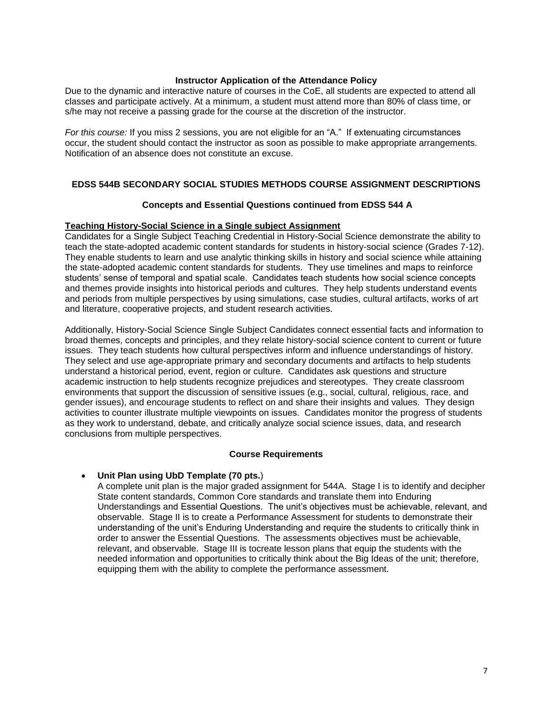#### **Instructor Application of the Attendance Policy**

<span id="page-6-0"></span>Due to the dynamic and interactive nature of courses in the CoE, all students are expected to attend all classes and participate actively. At a minimum, a student must attend more than 80% of class time, or s/he may not receive a passing grade for the course at the discretion of the instructor.

*For this course:* If you miss 2 sessions, you are not eligible for an "A." If extenuating circumstances occur, the student should contact the instructor as soon as possible to make appropriate arrangements. Notification of an absence does not constitute an excuse.

#### <span id="page-6-1"></span>**EDSS 544B SECONDARY SOCIAL STUDIES METHODS COURSE ASSIGNMENT DESCRIPTIONS**

#### <span id="page-6-2"></span>**Concepts and Essential Questions continued from EDSS 544 A**

#### <span id="page-6-3"></span>**Teaching History-Social Science in a Single subject Assignment**

Candidates for a Single Subject Teaching Credential in History-Social Science demonstrate the ability to teach the state-adopted academic content standards for students in history-social science (Grades 7-12). They enable students to learn and use analytic thinking skills in history and social science while attaining the state-adopted academic content standards for students. They use timelines and maps to reinforce students' sense of temporal and spatial scale. Candidates teach students how social science concepts and themes provide insights into historical periods and cultures. They help students understand events and periods from multiple perspectives by using simulations, case studies, cultural artifacts, works of art and literature, cooperative projects, and student research activities.

Additionally, History-Social Science Single Subject Candidates connect essential facts and information to broad themes, concepts and principles, and they relate history-social science content to current or future issues. They teach students how cultural perspectives inform and influence understandings of history. They select and use age-appropriate primary and secondary documents and artifacts to help students understand a historical period, event, region or culture. Candidates ask questions and structure academic instruction to help students recognize prejudices and stereotypes. They create classroom environments that support the discussion of sensitive issues (e.g., social, cultural, religious, race, and gender issues), and encourage students to reflect on and share their insights and values. They design activities to counter illustrate multiple viewpoints on issues. Candidates monitor the progress of students as they work to understand, debate, and critically analyze social science issues, data, and research conclusions from multiple perspectives.

#### **Course Requirements**

#### <span id="page-6-4"></span>**Unit Plan using UbD Template (70 pts.**)

A complete unit plan is the major graded assignment for 544A. Stage I is to identify and decipher State content standards, Common Core standards and translate them into Enduring Understandings and Essential Questions. The unit's objectives must be achievable, relevant, and observable. Stage II is to create a Performance Assessment for students to demonstrate their understanding of the unit's Enduring Understanding and require the students to critically think in order to answer the Essential Questions. The assessments objectives must be achievable, relevant, and observable. Stage III is tocreate lesson plans that equip the students with the needed information and opportunities to critically think about the Big Ideas of the unit; therefore, equipping them with the ability to complete the performance assessment.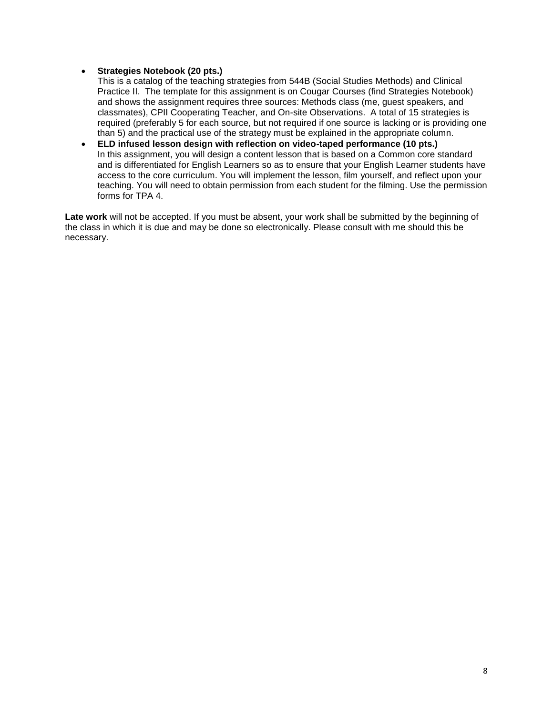#### **Strategies Notebook (20 pts.)**

This is a catalog of the teaching strategies from 544B (Social Studies Methods) and Clinical Practice II. The template for this assignment is on Cougar Courses (find Strategies Notebook) and shows the assignment requires three sources: Methods class (me, guest speakers, and classmates), CPII Cooperating Teacher, and On-site Observations. A total of 15 strategies is required (preferably 5 for each source, but not required if one source is lacking or is providing one than 5) and the practical use of the strategy must be explained in the appropriate column.

 **ELD infused lesson design with reflection on video-taped performance (10 pts.)** In this assignment, you will design a content lesson that is based on a Common core standard and is differentiated for English Learners so as to ensure that your English Learner students have access to the core curriculum. You will implement the lesson, film yourself, and reflect upon your teaching. You will need to obtain permission from each student for the filming. Use the permission forms for TPA 4.

**Late work** will not be accepted. If you must be absent, your work shall be submitted by the beginning of the class in which it is due and may be done so electronically. Please consult with me should this be necessary.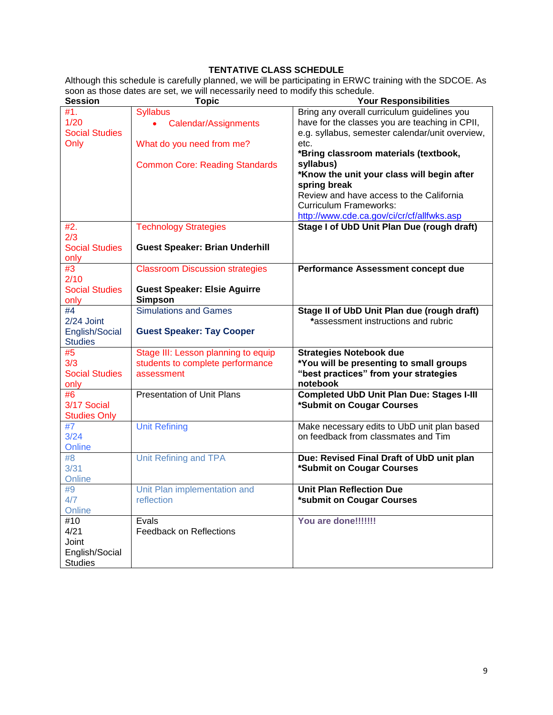## **TENTATIVE CLASS SCHEDULE**

<span id="page-8-0"></span>Although this schedule is carefully planned, we will be participating in ERWC training with the SDCOE. As soon as those dates are set, we will necessarily need to modify this schedule.

| <b>Session</b>            | <b>Topic</b>                           | <b>Your Responsibilities</b>                                 |
|---------------------------|----------------------------------------|--------------------------------------------------------------|
| #1.                       | <b>Syllabus</b>                        | Bring any overall curriculum guidelines you                  |
| 1/20                      | Calendar/Assignments                   | have for the classes you are teaching in CPII,               |
| <b>Social Studies</b>     |                                        | e.g. syllabus, semester calendar/unit overview,              |
| Only                      | What do you need from me?              | etc.                                                         |
|                           |                                        | *Bring classroom materials (textbook,                        |
|                           | <b>Common Core: Reading Standards</b>  | syllabus)                                                    |
|                           |                                        | *Know the unit your class will begin after                   |
|                           |                                        | spring break                                                 |
|                           |                                        | Review and have access to the California                     |
|                           |                                        | <b>Curriculum Frameworks:</b>                                |
|                           |                                        | http://www.cde.ca.gov/ci/cr/cf/allfwks.asp                   |
| #2.                       | <b>Technology Strategies</b>           | Stage I of UbD Unit Plan Due (rough draft)                   |
| 2/3                       |                                        |                                                              |
| <b>Social Studies</b>     | <b>Guest Speaker: Brian Underhill</b>  |                                                              |
| only                      |                                        |                                                              |
| #3                        | <b>Classroom Discussion strategies</b> | Performance Assessment concept due                           |
| 2/10                      |                                        |                                                              |
| <b>Social Studies</b>     | <b>Guest Speaker: Elsie Aguirre</b>    |                                                              |
| only                      | <b>Simpson</b>                         |                                                              |
| #4                        | <b>Simulations and Games</b>           | Stage II of UbD Unit Plan due (rough draft)                  |
| 2/24 Joint                |                                        | *assessment instructions and rubric                          |
| English/Social            | <b>Guest Speaker: Tay Cooper</b>       |                                                              |
| <b>Studies</b>            |                                        |                                                              |
| #5                        | Stage III: Lesson planning to equip    | <b>Strategies Notebook due</b>                               |
| 3/3                       | students to complete performance       | *You will be presenting to small groups                      |
| <b>Social Studies</b>     | assessment                             | "best practices" from your strategies                        |
| only                      | <b>Presentation of Unit Plans</b>      | notebook<br><b>Completed UbD Unit Plan Due: Stages I-III</b> |
| #6<br>3/17 Social         |                                        |                                                              |
|                           |                                        | *Submit on Cougar Courses                                    |
| <b>Studies Only</b><br>#7 | <b>Unit Refining</b>                   | Make necessary edits to UbD unit plan based                  |
| 3/24                      |                                        | on feedback from classmates and Tim                          |
| Online                    |                                        |                                                              |
| #8                        | Unit Refining and TPA                  | Due: Revised Final Draft of UbD unit plan                    |
| 3/31                      |                                        | *Submit on Cougar Courses                                    |
| Online                    |                                        |                                                              |
| #9                        | Unit Plan implementation and           | <b>Unit Plan Reflection Due</b>                              |
| 4/7                       | reflection                             | *submit on Cougar Courses                                    |
| Online                    |                                        |                                                              |
| #10                       | Evals                                  | You are done!!!!!!!                                          |
| 4/21                      | <b>Feedback on Reflections</b>         |                                                              |
| Joint                     |                                        |                                                              |
| English/Social            |                                        |                                                              |
| <b>Studies</b>            |                                        |                                                              |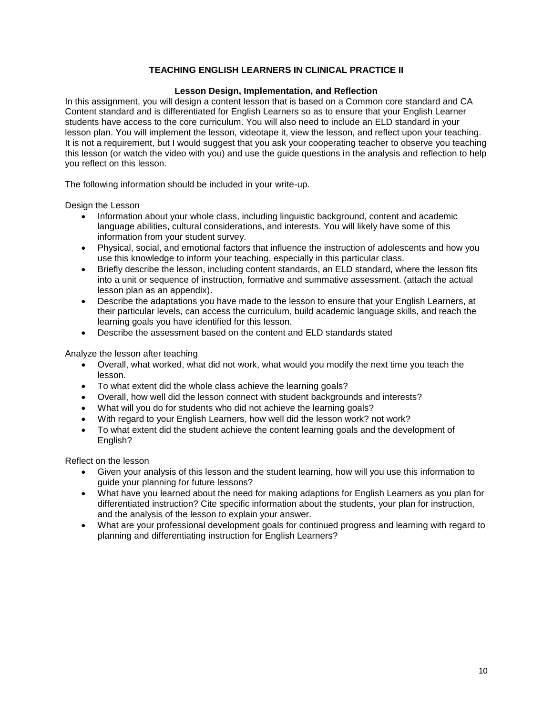## **TEACHING ENGLISH LEARNERS IN CLINICAL PRACTICE II**

#### **Lesson Design, Implementation, and Reflection**

<span id="page-9-1"></span><span id="page-9-0"></span>In this assignment, you will design a content lesson that is based on a Common core standard and CA Content standard and is differentiated for English Learners so as to ensure that your English Learner students have access to the core curriculum. You will also need to include an ELD standard in your lesson plan. You will implement the lesson, videotape it, view the lesson, and reflect upon your teaching. It is not a requirement, but I would suggest that you ask your cooperating teacher to observe you teaching this lesson (or watch the video with you) and use the guide questions in the analysis and reflection to help you reflect on this lesson.

The following information should be included in your write-up.

Design the Lesson

- Information about your whole class, including linguistic background, content and academic language abilities, cultural considerations, and interests. You will likely have some of this information from your student survey.
- Physical, social, and emotional factors that influence the instruction of adolescents and how you use this knowledge to inform your teaching, especially in this particular class.
- Briefly describe the lesson, including content standards, an ELD standard, where the lesson fits into a unit or sequence of instruction, formative and summative assessment. (attach the actual lesson plan as an appendix).
- Describe the adaptations you have made to the lesson to ensure that your English Learners, at their particular levels, can access the curriculum, build academic language skills, and reach the learning goals you have identified for this lesson.
- Describe the assessment based on the content and ELD standards stated

Analyze the lesson after teaching

- Overall, what worked, what did not work, what would you modify the next time you teach the lesson.
- To what extent did the whole class achieve the learning goals?
- Overall, how well did the lesson connect with student backgrounds and interests?
- What will you do for students who did not achieve the learning goals?
- With regard to your English Learners, how well did the lesson work? not work?
- To what extent did the student achieve the content learning goals and the development of English?

Reflect on the lesson

- Given your analysis of this lesson and the student learning, how will you use this information to guide your planning for future lessons?
- What have you learned about the need for making adaptions for English Learners as you plan for differentiated instruction? Cite specific information about the students, your plan for instruction, and the analysis of the lesson to explain your answer.
- What are your professional development goals for continued progress and learning with regard to planning and differentiating instruction for English Learners?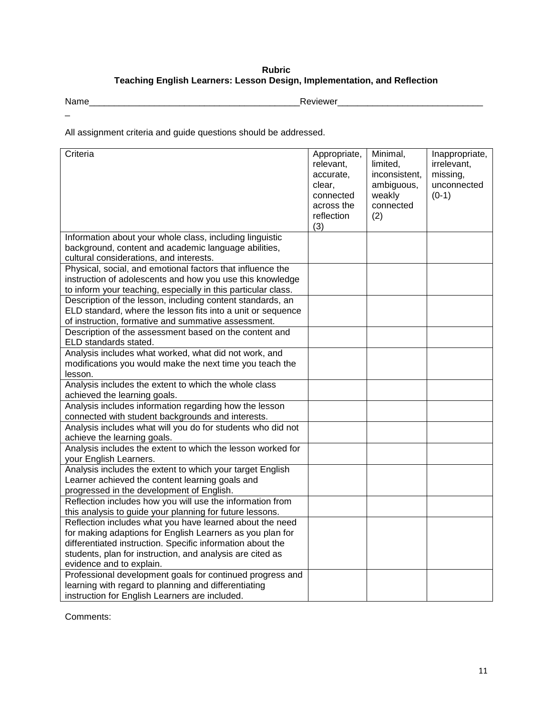## **Rubric Teaching English Learners: Lesson Design, Implementation, and Reflection**

 $\overline{\phantom{0}}$ 

<span id="page-10-0"></span>Name\_\_\_\_\_\_\_\_\_\_\_\_\_\_\_\_\_\_\_\_\_\_\_\_\_\_\_\_\_\_\_\_\_\_\_\_\_\_\_\_\_\_Reviewer\_\_\_\_\_\_\_\_\_\_\_\_\_\_\_\_\_\_\_\_\_\_\_\_\_\_\_\_\_

All assignment criteria and guide questions should be addressed.

| Criteria                                                                                                                                                                                 | Appropriate,<br>relevant,<br>accurate,<br>clear, | Minimal,<br>limited,<br>inconsistent,<br>ambiguous, | Inappropriate,<br>irrelevant,<br>missing,<br>unconnected |
|------------------------------------------------------------------------------------------------------------------------------------------------------------------------------------------|--------------------------------------------------|-----------------------------------------------------|----------------------------------------------------------|
|                                                                                                                                                                                          | connected<br>across the<br>reflection            | weakly<br>connected<br>(2)                          | $(0-1)$                                                  |
|                                                                                                                                                                                          | (3)                                              |                                                     |                                                          |
| Information about your whole class, including linguistic<br>background, content and academic language abilities,<br>cultural considerations, and interests.                              |                                                  |                                                     |                                                          |
| Physical, social, and emotional factors that influence the<br>instruction of adolescents and how you use this knowledge<br>to inform your teaching, especially in this particular class. |                                                  |                                                     |                                                          |
| Description of the lesson, including content standards, an<br>ELD standard, where the lesson fits into a unit or sequence<br>of instruction, formative and summative assessment.         |                                                  |                                                     |                                                          |
| Description of the assessment based on the content and<br>ELD standards stated.                                                                                                          |                                                  |                                                     |                                                          |
| Analysis includes what worked, what did not work, and                                                                                                                                    |                                                  |                                                     |                                                          |
| modifications you would make the next time you teach the                                                                                                                                 |                                                  |                                                     |                                                          |
| lesson.                                                                                                                                                                                  |                                                  |                                                     |                                                          |
| Analysis includes the extent to which the whole class                                                                                                                                    |                                                  |                                                     |                                                          |
| achieved the learning goals.                                                                                                                                                             |                                                  |                                                     |                                                          |
| Analysis includes information regarding how the lesson                                                                                                                                   |                                                  |                                                     |                                                          |
| connected with student backgrounds and interests.                                                                                                                                        |                                                  |                                                     |                                                          |
| Analysis includes what will you do for students who did not                                                                                                                              |                                                  |                                                     |                                                          |
| achieve the learning goals.                                                                                                                                                              |                                                  |                                                     |                                                          |
| Analysis includes the extent to which the lesson worked for                                                                                                                              |                                                  |                                                     |                                                          |
| your English Learners.                                                                                                                                                                   |                                                  |                                                     |                                                          |
| Analysis includes the extent to which your target English                                                                                                                                |                                                  |                                                     |                                                          |
| Learner achieved the content learning goals and                                                                                                                                          |                                                  |                                                     |                                                          |
| progressed in the development of English.                                                                                                                                                |                                                  |                                                     |                                                          |
| Reflection includes how you will use the information from                                                                                                                                |                                                  |                                                     |                                                          |
| this analysis to guide your planning for future lessons.                                                                                                                                 |                                                  |                                                     |                                                          |
| Reflection includes what you have learned about the need                                                                                                                                 |                                                  |                                                     |                                                          |
| for making adaptions for English Learners as you plan for                                                                                                                                |                                                  |                                                     |                                                          |
| differentiated instruction. Specific information about the                                                                                                                               |                                                  |                                                     |                                                          |
| students, plan for instruction, and analysis are cited as<br>evidence and to explain.                                                                                                    |                                                  |                                                     |                                                          |
| Professional development goals for continued progress and                                                                                                                                |                                                  |                                                     |                                                          |
| learning with regard to planning and differentiating                                                                                                                                     |                                                  |                                                     |                                                          |
| instruction for English Learners are included.                                                                                                                                           |                                                  |                                                     |                                                          |

Comments: